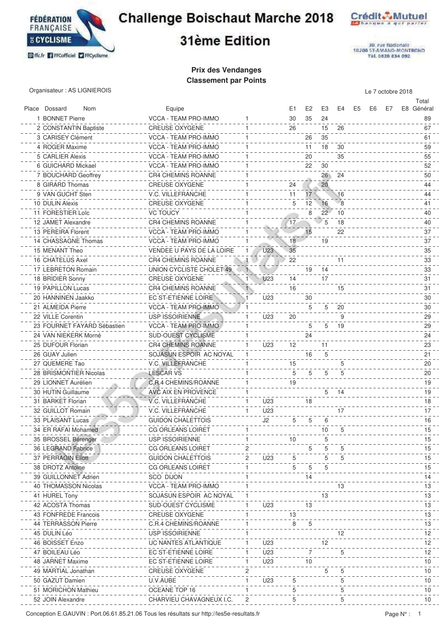

### **Challenge Boischaut Marche 2018**





30. rue Nationale<br>18209 ST-AMAND-MONTROND<br>Tél. 0820 834 092

# 31ème Edition

#### **Prix des Vendanges Classement par Points**

Organisateur : AS LIGNIEROIS Le 7 octobre 2018

|                             |                                                    |                      |    |                |       |      |    |    |    | Total      |
|-----------------------------|----------------------------------------------------|----------------------|----|----------------|-------|------|----|----|----|------------|
| Place Dossard<br>Nom        | Equipe                                             |                      | E1 | E <sub>2</sub> | E3    | E4   | E5 | E6 | E7 | E8 Général |
| 1 BONNET Pierre             | VCCA - TEAM PRO-IMMO                               | 1                    | 30 | 35             | 24    |      |    |    |    | 89         |
| 2 CONSTANTIN Baptiste       | <b>CREUSE OXYGENE</b>                              | 1                    | 26 |                | 15    | 26   |    |    |    | 67         |
| 3 CARISEY Clément           | VCCA - TEAM PRO-IMMO<br>1                          |                      |    | 26             | 35    |      |    |    |    | 61         |
| 4 ROGER Maxime              | VCCA - TEAM PRO-IMMO                               |                      |    | 11             | 18    | 30   |    |    |    | 59         |
| 5 CARLIER Alexis            | VCCA - TEAM PRO-IMMO                               |                      |    | 20             |       | 35   |    |    |    | 55         |
| 6 GUICHARD Mickael          | VCCA - TEAM PRO-IMMO                               |                      |    | 22             | 30    |      |    |    |    | 52         |
| 7 BOUCHARD Geoffrey         | <b>CR4 CHEMINS ROANNE</b>                          |                      |    |                | 26 24 |      |    |    |    | 50         |
| 8 GIRARD Thomas             | <b>CREUSE OXYGENE</b>                              |                      | 24 |                | 20    |      |    |    |    | 44         |
| 9 VAN GUCHT Sten            | V.C. VILLEFRANCHE                                  |                      | 11 | 17             |       | 16   |    |    |    | 44         |
| 10 DULIN Alexis             | <b>CREUSE OXYGENE</b>                              |                      | 5  | 12             | 16    | 8    |    |    |    | 41         |
| 11 FORESTIER Loïc           | <b>VC TOUCY</b>                                    |                      |    | 8              | 22    | 10   |    |    |    | 40         |
| 12 JAMET Alexandre          | <b>CR4 CHEMINS ROANNE</b>                          |                      | 17 |                | 5     | 18   |    |    |    | 40         |
| 13 PEREIRA Florent          | VCCA - TEAM PRO-IMMO                               |                      |    | 15             |       | 22   |    |    |    | 37         |
| 14 CHASSAGNE Thomas         | VCCA - TEAM PRO-IMMO<br>1                          |                      | 18 |                | 19    |      |    |    |    | 37         |
| 15 MENANT Theo              | VENDEE U PAYS DE LA LOIRE                          | U <sub>23</sub>      | 35 |                |       |      |    |    |    | 35         |
| 16 CHATELUS Axel            | <b>CR4 CHEMINS ROANNE</b><br>4                     |                      | 22 |                |       | 11   |    |    |    | 33         |
| 17 LEBRETON Romain          | UNION CYCLISTE CHOLET 49                           | $\mathbf{1}$         |    | 19             | 14    |      |    |    |    | 33         |
| 18 BRIDIER Sonny            | <b>CREUSE OXYGENE</b>                              | U <sub>23</sub><br>1 | 14 |                | 17    |      |    |    |    | 31         |
| 19 PAPILLON Lucas           | <b>CR4 CHEMINS ROANNE</b>                          |                      | 16 |                |       | 15   |    |    |    | 31         |
| 20 HANNINEN Jaakko          |                                                    | U23                  |    | 30             |       |      |    |    |    | 30         |
| 21 ALMEIDA Pierre           | EC ST-ETIENNE LOIRE<br><b>VCCA - TEAM PRO-IMMO</b> |                      |    |                |       |      |    |    |    |            |
|                             |                                                    |                      |    | 5              | 5     | 20   |    |    |    | 30         |
| 22 VILLE Corentin           | <b>USP ISSOIRIENNE</b>                             | U23<br>1             | 20 |                |       | 9    |    |    |    | 29         |
| 23 FOURNET FAYARD Sébastien | VCCA - TEAM PRO-IMMO<br>1                          |                      |    | 5              | 5     | - 19 |    |    |    | 29         |
| 24 VAN NIEKERK Morné        | SUD-OUEST CYCLISME                                 |                      |    | 24             |       |      |    |    |    | 24         |
| 25 DUFOUR Florian           | <b>CR4 CHEMINS ROANNE</b>                          | U23<br>1             | 12 |                | 11    |      |    |    |    | 23         |
| 26 GUAY Julien              | SOJASUN ESPOIR AC NOYAL                            |                      |    | 16             | 5     |      |    |    |    | 21         |
| 27 QUEMERE Tao              | <b>V.C. VILLEFRANCHE</b>                           |                      | 15 |                |       | 5    |    |    |    | 20         |
| 28 BRISMONTIER Nicolas      | <b>LESCAR VS</b>                                   |                      | 5  | 5              | 5     | 5    |    |    |    | 20         |
| 29 LIONNET Aurélien         | C.R.4 CHEMINS/ROANNE                               |                      | 19 |                |       |      |    |    |    | 19         |
| 30 HUTIN Guillaume          | AVC AIX EN PROVENCE                                | 1                    |    |                | 5     | - 14 |    |    |    | 19         |
| 31 BARKET Florian           | V.C. VILLEFRANCHE                                  | U23<br>1.            |    | 18             |       |      |    |    |    | 18         |
| 32 GUILLOT Romain           | V.C. VILLEFRANCHE                                  | U <sub>23</sub><br>1 |    |                |       | 17   |    |    |    | 17         |
| 33 PLAISANT Lucas           | <b>GUIDON CHALETTOIS</b>                           | J2                   | 5  | 5              | 6     |      |    |    |    | 16         |
| 34 ER RAFAI Mohamed         | CG ORLEANS LOIRET                                  |                      |    |                | 10    |      |    |    |    | 15         |
| 35 BROSSEL Bérenger         | <b>USP ISSOIRIENNE</b>                             |                      | 10 |                |       |      |    |    |    | 15         |
| 36 LEGRAND Fabrice          | CG ORLEANS LOIRET                                  |                      |    |                |       |      |    |    |    | 15         |
| 37 PERRAGIN Eliott          | <b>GUIDON CHALETTOIS</b>                           | 2<br>U23             |    |                |       | 5    |    |    |    | 15         |
| 38 DROTZ Antoine            | CG ORLEANS LOIRET                                  | 1                    | 5  | 5              |       |      |    |    |    | 15         |
| 39 GUILLONNET Adrien        | <b>SCO DIJON</b>                                   |                      |    | 14             |       |      |    |    |    | 14         |
| 40 THOMASSON Nicolas        | VCCA - TEAM PRO-IMMO                               |                      |    |                |       | 13   |    |    |    | 13         |
| 41 HUREL Tony               | SOJASUN ESPOIR AC NOYAL                            | 1                    |    |                | 13    |      |    |    |    | 13         |
| 42 ACOSTA Thomas            | <b>SUD-OUEST CYCLISME</b>                          | U23                  |    | 13             |       |      |    |    |    | 13         |
| 43 FONFREDE Francois        | <b>CREUSE OXYGENE</b>                              |                      | 13 |                |       |      |    |    |    | 13         |
| 44 TERRASSON Pierre         | C.R.4 CHEMINS/ROANNE                               |                      | 8  | 5              |       |      |    |    |    | 13         |
| 45 DULIN Léo                | USP ISSOIRIENNE                                    | 1.                   |    |                |       | 12   |    |    |    | 12         |
| 46 BOISSET Enzo             | UC NANTES ATLANTIQUE                               | $\mathbf{1}$<br>U23  |    |                | 12    |      |    |    |    | 12         |
| 47 BOILEAU Léo              | EC ST-ETIENNE LOIRE                                | U23<br>1             |    | $\overline{7}$ |       |      |    |    |    | 12         |
| 48 JARNET Maxime            | EC ST-ETIENNE LOIRE                                | U23<br>$\mathbf{1}$  |    | 10             |       |      |    |    |    | 10         |
| 49 MARTIAL Jonathan         | <b>CREUSE OXYGENE</b>                              | 2                    |    |                | 5     | 5    |    |    |    | 10         |
| 50 GAZUT Damien             | U.V.AUBE                                           | 1<br>U23             | 5  |                |       | 5    |    |    |    | 10         |
| 51 MORICHON Mathieu         | OCEANE TOP 16                                      |                      | 5  |                |       | 5    |    |    |    | 10         |
| 52 JOIN Alexandre           |                                                    |                      | 5  |                |       | 5    |    |    |    | 10         |
|                             | CHARVIEU CHAVAGNEUX I.C.                           |                      |    |                |       |      |    |    |    |            |